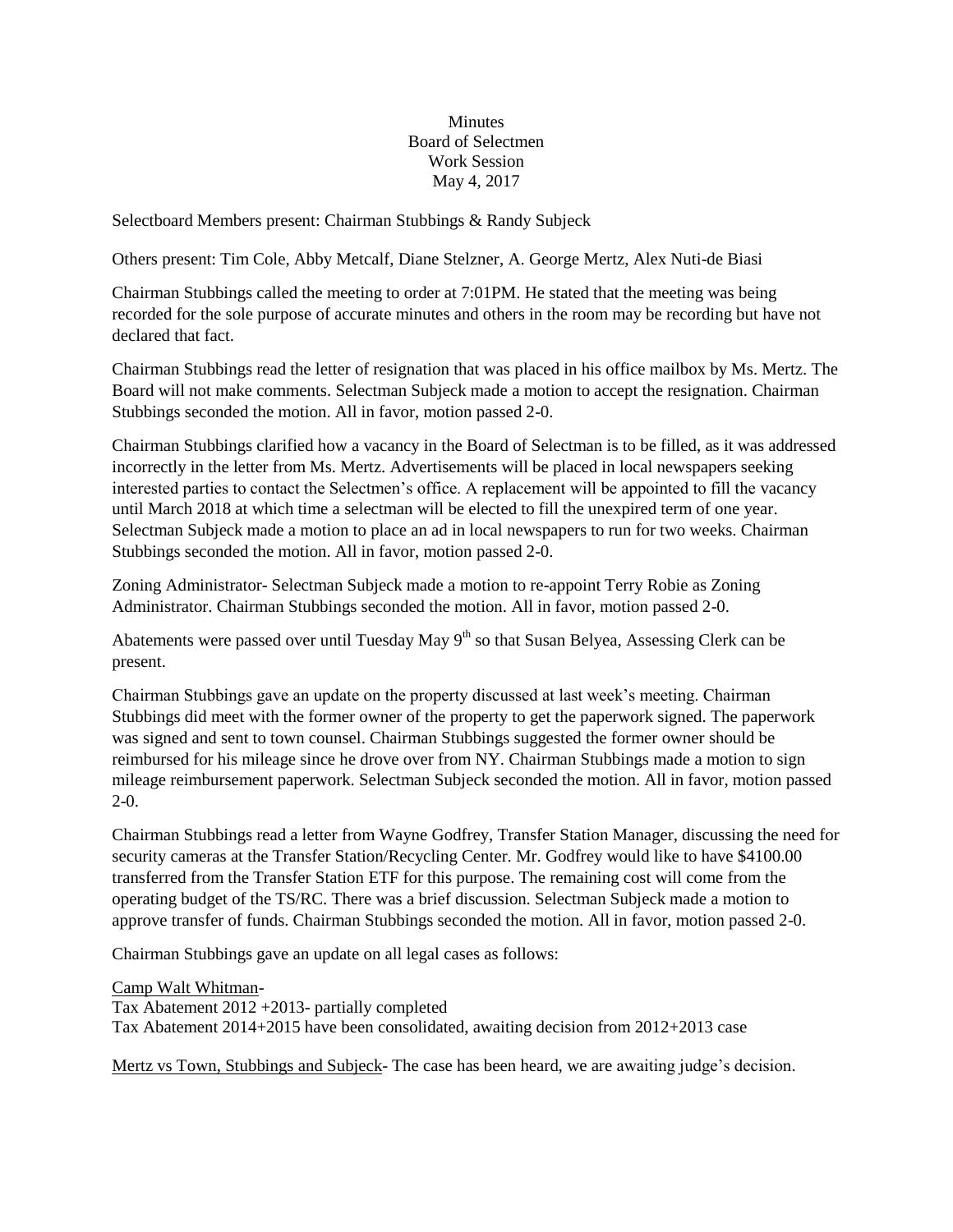Minutes Board of Selectmen Work Session May 4, 2017

Selectboard Members present: Chairman Stubbings & Randy Subjeck

Others present: Tim Cole, Abby Metcalf, Diane Stelzner, A. George Mertz, Alex Nuti-de Biasi

Chairman Stubbings called the meeting to order at 7:01PM. He stated that the meeting was being recorded for the sole purpose of accurate minutes and others in the room may be recording but have not declared that fact.

Chairman Stubbings read the letter of resignation that was placed in his office mailbox by Ms. Mertz. The Board will not make comments. Selectman Subjeck made a motion to accept the resignation. Chairman Stubbings seconded the motion. All in favor, motion passed 2-0.

Chairman Stubbings clarified how a vacancy in the Board of Selectman is to be filled, as it was addressed incorrectly in the letter from Ms. Mertz. Advertisements will be placed in local newspapers seeking interested parties to contact the Selectmen's office. A replacement will be appointed to fill the vacancy until March 2018 at which time a selectman will be elected to fill the unexpired term of one year. Selectman Subjeck made a motion to place an ad in local newspapers to run for two weeks. Chairman Stubbings seconded the motion. All in favor, motion passed 2-0.

Zoning Administrator- Selectman Subjeck made a motion to re-appoint Terry Robie as Zoning Administrator. Chairman Stubbings seconded the motion. All in favor, motion passed 2-0.

Abatements were passed over until Tuesday May  $9<sup>th</sup>$  so that Susan Belyea, Assessing Clerk can be present.

Chairman Stubbings gave an update on the property discussed at last week's meeting. Chairman Stubbings did meet with the former owner of the property to get the paperwork signed. The paperwork was signed and sent to town counsel. Chairman Stubbings suggested the former owner should be reimbursed for his mileage since he drove over from NY. Chairman Stubbings made a motion to sign mileage reimbursement paperwork. Selectman Subjeck seconded the motion. All in favor, motion passed 2-0.

Chairman Stubbings read a letter from Wayne Godfrey, Transfer Station Manager, discussing the need for security cameras at the Transfer Station/Recycling Center. Mr. Godfrey would like to have \$4100.00 transferred from the Transfer Station ETF for this purpose. The remaining cost will come from the operating budget of the TS/RC. There was a brief discussion. Selectman Subjeck made a motion to approve transfer of funds. Chairman Stubbings seconded the motion. All in favor, motion passed 2-0.

Chairman Stubbings gave an update on all legal cases as follows:

Camp Walt Whitman-

Tax Abatement 2012 +2013- partially completed Tax Abatement 2014+2015 have been consolidated, awaiting decision from 2012+2013 case

Mertz vs Town, Stubbings and Subjeck- The case has been heard, we are awaiting judge's decision.